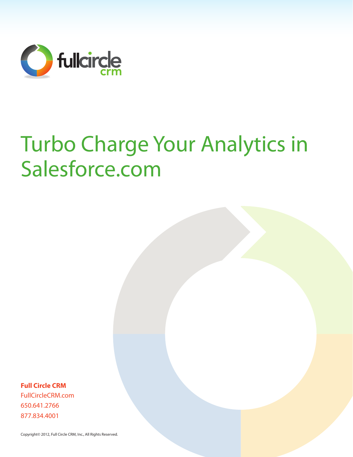

# Turbo Charge Your Analytics in Salesforce.com

**Full Circle CRM** FullCircleCRM.com 650.641.2766 877.834.4001

Copyright© 2012, Full Circle CRM, Inc., All Rights Reserved.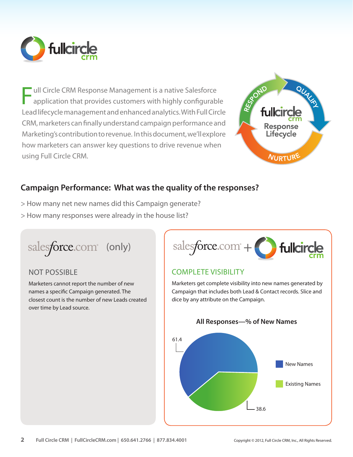

ull Circle CRM Response Management is a native Salesforce application that provides customers with highly configurable Lead lifecycle management and enhanced analytics. With Full Circle CRM, marketers can finally understand campaign performance and Marketing's contribution to revenue. In this document, we'll explore how marketers can answer key questions to drive revenue when using Full Circle CRM. F



# **Campaign Performance: What was the quality of the responses?**

- > How many net new names did this Campaign generate?
- > How many responses were already in the house list?

salesforce.com<sup>®</sup> (only)

### NOT POSSIBLE

Marketers cannot report the number of new names a specific Campaign generated. The closest count is the number of new Leads created over time by Lead source.



# COMPLETE VISIBILITY

Marketers get complete visibility into new names generated by Campaign that includes both Lead & Contact records. Slice and dice by any attribute on the Campaign.

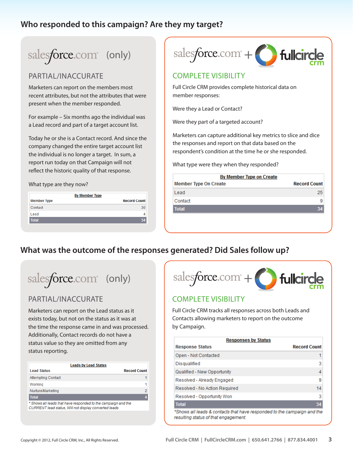# **Who responded to this campaign? Are they my target?**

# salesforce.com<sup>®</sup> (only)

### PARTIAL/INACCURATE

Marketers can report on the members most recent attributes, but not the attributes that were present when the member responded.

For example – Six months ago the individual was a Lead record and part of a target account list.

Today he or she is a Contact record. And since the company changed the entire target account list the individual is no longer a target. In sum, a report run today on that Campaign will not reflect the historic quality of that response.

What type are they now?

| <b>By Member Type</b> |                     |
|-----------------------|---------------------|
| <b>Member Type</b>    | <b>Record Count</b> |
| Contact               | 30                  |
| Lead                  |                     |
| <b>Total</b>          |                     |



#### COMPLETE VISIBILITY

Full Circle CRM provides complete historical data on member responses:

Were they a Lead or Contact?

Were they part of a targeted account?

Marketers can capture additional key metrics to slice and dice the responses and report on that data based on the respondent's condition at the time he or she responded.

What type were they when they responded?

| By Member Type on Create     |                     |  |
|------------------------------|---------------------|--|
| <b>Member Type On Create</b> | <b>Record Count</b> |  |
| Lead                         | 25.                 |  |
| Contact                      | 9                   |  |
| <b>Total</b>                 |                     |  |
|                              |                     |  |

# **What was the outcome of the responses generated? Did Sales follow up?**

salesforce.com<sup>®</sup> (only)

### PARTIAL/INACCURATE

Marketers can report on the Lead status as it exists today, but not on the status as it was at the time the response came in and was processed. Additionally, Contact records do not have a status value so they are omitted from any status reporting.

|                           | <b>Leads by Lead Status</b>                                                                                             |
|---------------------------|-------------------------------------------------------------------------------------------------------------------------|
| <b>Lead Status</b>        | <b>Record Count</b>                                                                                                     |
| <b>Attempting Contact</b> |                                                                                                                         |
| Working                   |                                                                                                                         |
| Nurture/Marketing         | 2                                                                                                                       |
| <b>Total</b>              | 4                                                                                                                       |
|                           | * Shows all leads that have responded to the campaign and the<br>CURRENT lead status. Will not display converted leads. |



### COMPLETE VISIBILITY

Full Circle CRM tracks all responses across both Leads and Contacts allowing marketers to report on the outcome by Campaign.

| <b>Responses by Status</b>                                                                                      |                     |
|-----------------------------------------------------------------------------------------------------------------|---------------------|
| <b>Response Status</b>                                                                                          | <b>Record Count</b> |
| Open - Not Contacted                                                                                            |                     |
| Disqualified                                                                                                    | 3                   |
| Qualified - New Opportunity                                                                                     | 4                   |
| Resolved - Already Engaged                                                                                      | 9                   |
| Resolved - No Action Required                                                                                   | 14                  |
| Resolved - Opportunity Won                                                                                      | 3                   |
| <b>Total</b>                                                                                                    | 34                  |
| *Shows all leads & contacts that have responded to the campaign and the<br>resulting status of that engagement. |                     |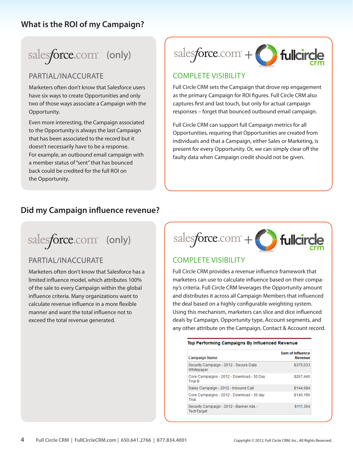# **What is the ROI of my Campaign?**

# salesforce.com<sup>®</sup> (only)

### PARTIAL/INACCURATE

Marketers often don't know that Salesforce users have six ways to create Opportunities and only two of those ways associate a Campaign with the Opportunity.

Even more interesting, the Campaign associated to the Opportunity is always the last Campaign that has been associated to the record but it doesn't necessarily have to be a response. For example, an outbound email campaign with a member status of "sent" that has bounced back could be credited for the full ROI on the Opportunity.



### COMPLETE VISIBILITY

Full Circle CRM sets the Campaign that drove rep engagement as the primary Campaign for ROI figures. Full Circle CRM also captures first and last touch, but only for actual campaign responses – forget that bounced outbound email campaign.

Full Circle CRM can support full Campaign metrics for all Opportunities, requiring that Opportunities are created from individuals and that a Campaign, either Sales or Marketing, is present for every Opportunity. Or, we can simply clear off the faulty data when Campaign credit should not be given.

# **Did my Campaign influence revenue?**

salesforce.com<sup>®</sup> (only)

### PARTIAL/INACCURATE

Marketers often don't know that Salesforce has a limited influence model, which attributes 100% of the sale to every Campaign within the global influence criteria. Many organizations want to calculate revenue influence in a more flexible manner and want the total influence not to exceed the total revenue generated.



### **COMPLETE VISIBILITY**

Full Circle CRM provides a revenue influence framework that marketers can use to calculate influence based on their company's criteria. Full Circle CRM leverages the Opportunity amount and distributes it across all Campaign Members that influenced the deal based on a highly configurable weighting system. Using this mechanism, marketers can slice and dice influenced deals by Campaign, Opportunity type, Account segments, and any other attribute on the Campaign, Contact & Account record.

|  |  | Top Performing Campaigns By Influenced Revenue |  |
|--|--|------------------------------------------------|--|
|  |  |                                                |  |

| <b>Campaign Name</b>                                         | <b>Sum of Influence</b><br><b>Revenue</b> |
|--------------------------------------------------------------|-------------------------------------------|
| Security Campaign - 2012 - Secure Data<br>Whitepaper         | \$375,033                                 |
| Core Campaigns - 2012 - Download - 30 Day<br><b>Trial B</b>  | \$267,440                                 |
| Sales Campaign - 2012 - Inbound Call                         | \$144.684                                 |
| Core Campaigns - 2012 - Download - 30 day<br>Trial           | \$140.190                                 |
| Security Campaign - 2012 - Banner Ads -<br><b>TechTarget</b> | \$111.364                                 |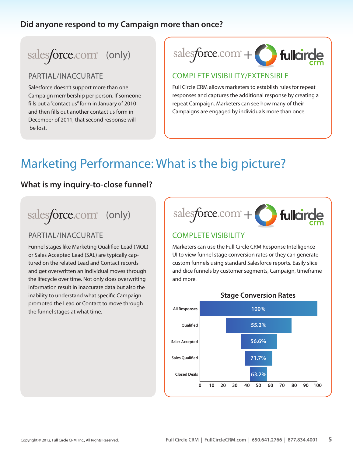## **Did anyone respond to my Campaign more than once?**

# salesforce.com<sup>®</sup> (only)

#### PARTIAL/INACCURATE

Salesforce doesn't support more than one Campaign membership per person. If someone fills out a "contact us" form in January of 2010 and then fills out another contact us form in December of 2011, that second response will be lost.



#### COMPLETE VISIBILITY/EXTENSIBLE

Full Circle CRM allows marketers to establish rules for repeat responses and captures the additional response by creating a repeat Campaign. Marketers can see how many of their Campaigns are engaged by individuals more than once.

# Marketing Performance: What is the big picture?

### **What is my inquiry-to-close funnel?**

# salesforce.com<sup>®</sup> (only)

### PARTIAL/INACCURATE

Funnel stages like Marketing Qualified Lead (MQL) or Sales Accepted Lead (SAL) are typically captured on the related Lead and Contact records and get overwritten an individual moves through the lifecycle over time. Not only does overwriting information result in inaccurate data but also the inability to understand what specific Campaign prompted the Lead or Contact to move through the funnel stages at what time.



#### COMPLETE VISIBILITY

Marketers can use the Full Circle CRM Response Intelligence UI to view funnel stage conversion rates or they can generate custom funnels using standard Salesforce reports. Easily slice and dice funnels by customer segments, Campaign, timeframe and more.



#### **Stage Conversion Rates**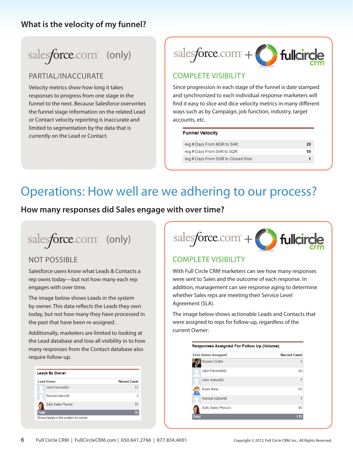### **What is the velocity of my funnel?**

# salesforce.com<sup>®</sup> (only)

### PARTIAL/INACCURATE

Velocity metrics show how long it takes responses to progress from one stage in the funnel to the next. Because Salesforce overwrites the funnel stage information on the related Lead or Contact velocity reporting is inaccurate and limited to segmentation by the data that is currently on the Lead or Contact.



### COMPLETE VISIBILITY

Since progression in each stage of the funnel is date stamped and synchronized to each individual response marketers will find it easy to slice and dice velocity metrics in many different ways such as by Campaign, job function, industry, target accounts, etc.

#### **Funnel Velocity**

| Avg # Days From MQR to SAR:        | 20 |
|------------------------------------|----|
| Avg # Davs From SAR to SQR:        | 10 |
| Avg # Days From SQR to Closed Won: |    |

# Operations: How well are we adhering to our process?

**How many responses did Sales engage with over time?**

salesforce.com<sup>®</sup> (only)

### NOT POSSIBLE

Salesforce users know what Leads & Contacts a rep owns today—but not how many each rep engages with over time.

The image below shows Leads in the system by owner. This data reflects the Leads they own today, but not how many they have processed in the past that have been re-assigned .

Additionally, marketers are limited to looking at the Lead database and lose all visibility in to how many responses from the Contact database also require follow-up.

| <b>Lead Owner</b>     | <b>Record Count</b> |
|-----------------------|---------------------|
| <b>Jack PassiveSD</b> | 17                  |
| Ronald ActiveAR       |                     |
| Sally Sales Person    | 37                  |
| <b>Total</b>          | 55                  |



# COMPLETE VISIBILITY

With Full Circle CRM marketers can see how many responses were sent to Sales and the outcome of each response. In addition, management can see response aging to determine whether Sales reps are meeting their Service Level Agreement (SLA).

The image below shows actionable Leads and Contacts that were assigned to reps for follow-up, regardless of the current Owner:

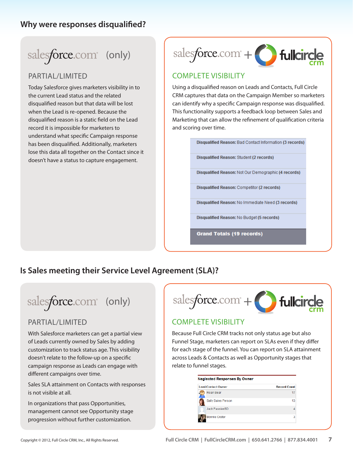### **Why were responses disqualified?**

# salesforce.com<sup>®</sup> (only)

### PARTIAL/LIMITED

Today Salesforce gives marketers visibility in to the current Lead status and the related disqualified reason but that data will be lost when the Lead is re-opened. Because the disqualified reason is a static field on the Lead record it is impossible for marketers to understand what specific Campaign response has been disqualified. Additionally, marketers lose this data all together on the Contact since it doesn't have a status to capture engagement.



### COMPLETE VISIBILITY

Using a disqualified reason on Leads and Contacts, Full Circle CRM captures that data on the Campaign Member so marketers can identify why a specific Campaign response was disqualified. This functionality supports a feedback loop between Sales and Marketing that can allow the refinement of qualification criteria and scoring over time.

Disqualified Reason: Bad Contact Information (3 records)

**Disqualified Reason: Student (2 records)** 

Disqualified Reason: Not Our Demographic (4 records)

**Disqualified Reason: Competitor (2 records)** 

Disqualified Reason: No Immediate Need (3 records)

Disqualified Reason: No Budget (5 records)

**Grand Totals (19 records)** 

# **Is Sales meeting their Service Level Agreement (SLA)?**

salesforce.com<sup>®</sup> (only)

#### PARTIAL/LIMITED

With Salesforce marketers can get a partial view of Leads currently owned by Sales by adding customization to track status age. This visibility doesn't relate to the follow-up on a specific campaign response as Leads can engage with different campaigns over time.

Sales SLA attainment on Contacts with responses is not visible at all.

In organizations that pass Opportunities, management cannot see Opportunity stage progression without further customization.

salesforce.com<sup>\*</sup>+

#### COMPLETE VISIBILITY

Because Full Circle CRM tracks not only status age but also Funnel Stage, marketers can report on SLAs even if they differ for each stage of the funnel. You can report on SLA attainment across Leads & Contacts as well as Opportunity stages that relate to funnel stages.

| Lead/Contact Owner    | <b>Record Count</b> |
|-----------------------|---------------------|
| Roan Bear             | 17                  |
| Sally Sales Person    | 13                  |
| <b>Jack PassiveSD</b> |                     |
| <b>Bonnie Crater</b>  | ٩                   |